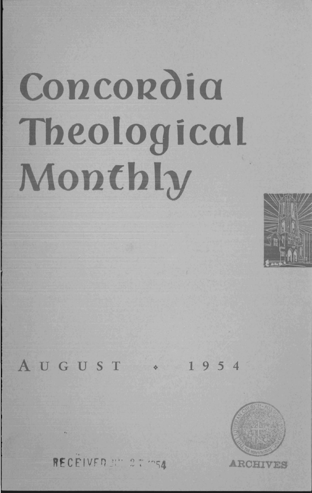# **Concordia Theological Monthly**



## **AUGUST** ~ **1954**



RECEIVER Nº 27 ms4 **ARCHIVE**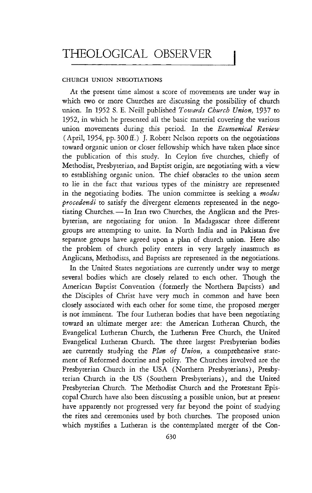### THEOLOGICAL OBSERVER

#### CHURCH UNION NEGOTIATIONS

At the present time almost a score of movements are under way in which two or more Churches are discussing the possibility of church union. In 1952 S. E. Neill published *Towafds Church Union,* 1937 to 1952, in which he presented all the basic material covering the various union movements during this period. In the *Ecumenical Review*  (April, 1954, pp. 300 ff.) J. Robert Nelson reports on the negotiations toward organic union or closer fellowship which have taken place since the publication of this study. In Ceylon five churches, chiefly of Methodist, Presbyterian, and Baptist origin, are negotiating with a view to establishing organic union. The chief obstacles to the union seem to lie in the fact that various types of the ministry are represented in the negotiating bodies. The union committee is seeking a *modus procedendi* to satisfy the divergent elements represented in the negotiating Churches. - In Iran two Churches, the Anglican and the Presbyterian, are negotiating for union. In Madagascar three different groups are attempting to unite. In North India and in Pakistan five separate groups have agreed upon a plan of church union. Here also the problem of church polity enters in very largely inasmuch as Anglicans, Methodists, and Baptists are represented in the negotiations.

In the United States negotiations are currently under way to merge several bodies which are closely related to each other. Though the American Baptist Convention (formerly the Northern Baptists) and the Disciples of Christ have very much in common and have been closely associated with each other for some time, the proposed merger is not imminent. The four Lutheran bodies that have been negotiating toward an ultimate merger are: the American Lutheran Church, the Evangelical Lutheran Church, the Lutheran Free Church, the United Evangelical Lutheran Church. The three largest Presbyterian bodies are currently studying the *Plan of Union,* a comprehensive statement of Reformed doctrine and polity. The Churches involved are the Presbyterian Church in the USA (Northern Presbyterians), Presbyterian Church in the US (Southern Presbyterians), and the United Presbyterian Church. The Methodist Church and the Protestant Episcopal Church have also been discussing a possible union, but at present have apparently not progressed very far beyond the point of studying the rites and ceremonies used by both churches. The proposed union which mystifies a Lutheran is the contemplated merger of the Con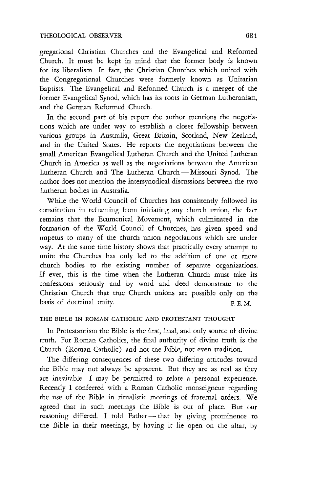gregational Christian Churches and the Evangelical and Reformed Church. It must be kept in mind that the former body is known for its liberalism. In fact, the Christian Churches which united with the Congregational Churches were formerly known as Unitarian Baptists. The Evangelical and Reformed Church is a merger of the former Evangelical Synod, which has its roots in German Lutheranism, and the German Reformed Church.

In the second part of his report the author mentions the negotiations which are under way to establish a closer fellowship between various groups in Australia, Great Britain, Scotland, New Zealand, and in the United States. He reports the negotiations between the small American Evangelical Lutheran Church and the United Lutheran Church in America as well as the negotiations between the American Lutheran Church and The Lutheran Church - Missouri Synod. The author does not mention the intersynodical discussions between the two Lutheran bodies in Australia.

While the World Council of Churches has consistently followed its constitution in refraining from initiating any church union, the fact remains that the Ecumenical Movement, which culminated in the formation of the World Council of Churches, has given speed and impetus to many of the church union negotiations which are under way. At the same time history shows that practically every attempt to unite the Churches has only led to the addition of one or more church bodies to the existing number of separate organizations. If ever, this is the time when the Lutheran Church must take its confessions seriously and by word and deed demonstrate to the Christian Church that true Church unions are possible only on the basis of doctrinal unity. The state of the state of the state of the state of the state of the state of the state of the state of the state of the state of the state of the state of the state of the state of the state of t

#### THE BIBLE IN ROMAN CATHOLIC AND PROTESTANT THOUGHT

In Protestantism the Bible is the first, final, and only source of divine truth. For Roman Catholics, the final authority of divine truth is the Church (Roman Catholic) and not the Bible, not even tradition.

The differing consequences of these two differing attitudes toward the Bible may not always be apparent. But they are as real as they are inevitable. I may be permitted to relate a personal experience. Recently I conferred with a Roman Catholic monseigneur regarding the use of the Bible in ritualistic meetings of fraternal orders. We agreed that in such meetings the Bible is out of place. But our reasoning differed. I told Father-that by giving prominence to the Bible in their meetings, by having it lie open on the altar, by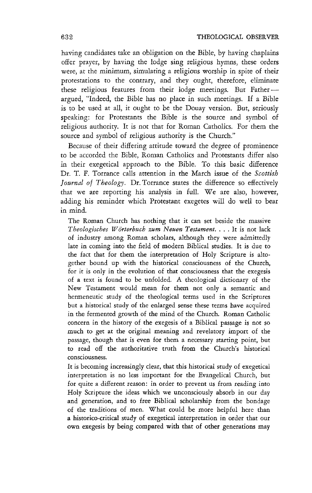having candidates take an obligation on the Bible, by having chaplains offer prayer, by having the lodge sing religious hymns, these orders were, at the minimum, simulating a religious worship in spite of their protestations to the contrary, and they ought, therefore, eliminate these religious features from their lodge meetings. But Fatherargued, "Indeed, the Bible has no place in such meetings. If a Bible is to be used at all, it ought to be the Douay version. But, seriously speaking: for Protestants the Bible is the source and symbol of religious authority. It is not that for Roman Catholics. For them the source and symbol of religious authority is the Church."

Because of their differing attitude toward the degree of prominence to be accorded the Bible, Roman Catholics and Protestants differ also in their exegetical approach to the Bible. To this basic difference Dr. T. F. Torrance calls attention in the March issue of the *Scottish*  Journal of Theology. Dr. Torrance states the difference so effectively that we are reporting his analysis in full. We are also, however, adding his reminder which Protestant exegetes will do well to bear in mind.

The Roman Church has nothing that it can set beside the massive *Theologisches Worterbuch zum Neuen Testament .* ... It is not lack of industry among Roman scholars, although they were admittedly late in coming into the field of modern Biblical studies. It is due to the fact that for them the interpretation of Holy Scripture is altogether bound up with the historical consciousness of the Church, for it is only in the evolution of that consciousness that the exegesis of a text is found to be unfolded. A theological dictionary of the New Testament would mean for them not only a semantic and hermeneutic study of the theological terms used in the Scriptures but a historical study of the enlarged sense these terms have acquired in the fermented growth of the mind of the Church. Roman Catholic concern in the history of the exegesis of a Biblical passage is not so much to get at the original meaning and revelatory import of the passage, though that is even for them a necessary starting point, but to read off the authoritative truth from the Church's historical consciousness.

It is becoming increasingly clear, that this historical study of exegetical interpretation is no less important for the Evangelical Church, but for quite a different reason: in order to prevent us from reading into Holy Scripture the ideas which we unconsciously absorb in our day and generation, and to free Biblical scholarship from the bondage of the traditions of men. What could be more helpful here than a historico-critical study of exegetical interpretation in order that our own exegesis by being compared with that of other generations may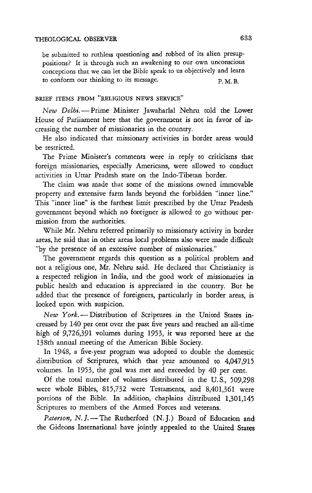be submitted to ruthless questioning and robbed of its alien presuppositions? It is through such an awakening to our own unconscious conceptions that we can let the Bible speak to us objectively and learn to conform our thinking to its message. P.M.B.

#### BRIEF ITEMS FROM "RELIGIOUS NEWS SERVICE"

*New Delhi.* - Prime Minister Jawaharlal Nehru told the Lower House of Parliament here that the government is not in favor of increasing the number of missionaries in the country.

He also indicated that missionary activities in border areas would be restricted.

The Prime Minister's comments were in reply to criticisms that foreign missionaries, especially Americans, were allowed to conduct activities in Uttar Pradesh state on the Indo-Tibetan border.

The claim was made that some of the missions owned immovable property and extensive farm lands beyond the forbidden "inner line." This "inner line" is the farthest limit prescribed by the Uttar Pradesh government beyond which no foreigner is allowed to go without permission from the authorities.

While Mr. Nehru referred primarily to missionary activity in border areas, he said that in other areas local problems also were made difficult "by the presence of an excessive number of missionaries."

The government regards this question as a political problem and not a religious one, Mr. Nehru said. He declared that Christianity is a respected religion in India, and the good work of missionaries in public health and education is appreciated in the country. But he added that the presence of foreigners, particularly in border areas, is looked upon with suspicion.

*New York.* - Distribution of Scriptures in the United States increased by 140 per cent over the past five years and reached an all-time high of 9,726,391 volumes during 1953, it was reported here at the 138th annual meeting of the American Bible Society.

In 1948, a five-year program was adopted to double the domestic distribution of Scriptures, which that year amounted to 4,047,915 volumes. In 1953, the goal was met and exceeded by 40 per cent.

Of the total number of volumes distributed in the U. S., 509,298 were whole Bibles, 815,732 were Testaments, and 8,401,361 were portions of the Bible. In addition, chaplains distributed 1,301,145 Scriptures to members of the Armed Forces and veterans.

Paterson, N.J.-The Rutherford (N.J.) Board of Education and the Gideons International have jointly appealed to the United States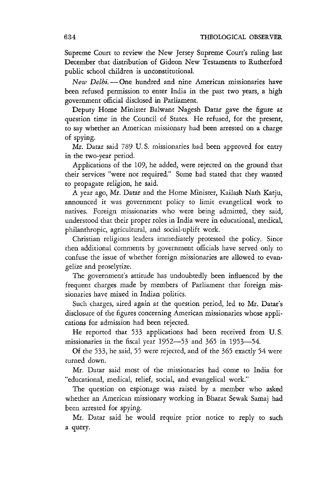Supreme Court to review the New Jersey Supreme Court's ruling last December that distribution of Gideon New Testaments to Rutherford public school children is unconstitutional.

*New Delhi.* - One hundred and nine American missionaries have been refused permission to enter India in the past two years, a high government official disclosed in Parliament.

Deputy Home Minister Balwant Nagesh Datar gave the figure at question time in the Council of States. He refused, for the present, to say whether an American missionary had been arrested on a charge of spying.

Mr. Datar said 789 U. S. missionaries had been approved for entry in the two-year period.

Applications of the 109, he added, were rejected on the ground that their services "were not required." Some had stated that they wanted to propagate religion, he said.

A year ago, Mr. Datar and the Home Minister, Kailash Nath Katju, announced it was government policy to limit evangelical work to natives. Foreign missionaries who were being admitted, they said, understood that their proper roles in India were in educational, medical, philanthropic, agricultural, and social-uplift work.

Christian religious leaders immediately protested the policy. Since then additional comments by government officials have served only to confuse the issue of whether foreign missionaries are allowed to evangelize and proselytize.

The government's attitude has undoubtedly been influenced by the frequent charges made by members of Parliament that foreign missionaries have mixed in Indian politics.

Such charges, aired again at the question period, led to Mr. Datar's disclosure of the figures concerning American missionaries whose applications for admission had been rejected.

He reported that 533 applications had been received from U. S. missionaries in the fiscal year 1952-53 and 365 in 1953-54.

Of the 533, he said, 55 were rejected, and of the 365 exactly 54 were turned down.

Mr. Datar said most of the missionaries had come to India for "educational, medical, relief, social, and evangelical work."

The question on espionage was raised by a member who asked whether an American missionary working in Bharat Sewak Samaj had been arrested for spying.

Mr. Datar said he would require prior notice to reply to such a query.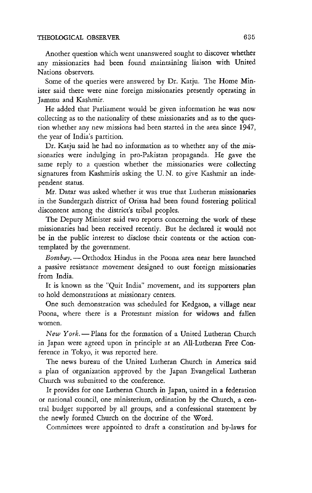Another question which went unanswered sought to discover whether any missionaries had been found maintaining liaison with United Nations observers.

Some of the queries were answered by Dr. Katju. The Home Minister said there were nine foreign missionaries presently operating in Jammu and Kashmir.

He added that Parliament would be given information he was now collecting as to the nationality of these missionaries and as to the question whether any new missions had been started in the area since 1947, the year of India's partition.

Dr. Katju said he had no information as to whether any of the missionaries were indulging in pro-Pakistan propaganda. He gave the same reply to a question whether the missionaries were collecting signatures from Kashmiris asking the U. N. to give Kashmir an independent status.

Mr. Datar was asked whether it was true that Lutheran missionaries in the Sundergarh district of Orissa had been found fostering political discontent among the district's tribal peoples.

The Deputy Minister said two reports concerning the work of these missionaries had been received recently. But he declared it would not be in the public interest to disclose their contents or the action contemplated by the government.

*Bombay.* - Orthodox Hindus in the Poona area near here launched a passive resistance movement designed to oust foreign missionaries from India.

It is known as the "Quit India" movement, and its supporters plan to hold demonstrations at missionary centers.

One such demonstration was scheduled for Kedgaon, a village near Poona, where there is a Protestant mission for widows and fallen women.

New York. - Plans for the formation of a United Lutheran Church in Japan were agreed upon in principle at an All-Lutheran Free Conference in Tokyo, it was reported here.

The news bureau of the United Lutheran Church in America said a plan of organization approved by the Japan Evangelical Lutheran Church was submitted to the conference.

It provides for one Lutheran Church in Japan, united in a federation or national council, one ministerium, ordination by the Church, a central budget supported by all groups, and a confessional statement by the newly formed Church on the doctrine of the Word.

Committees were appointed to draft a constitution and by-laws for